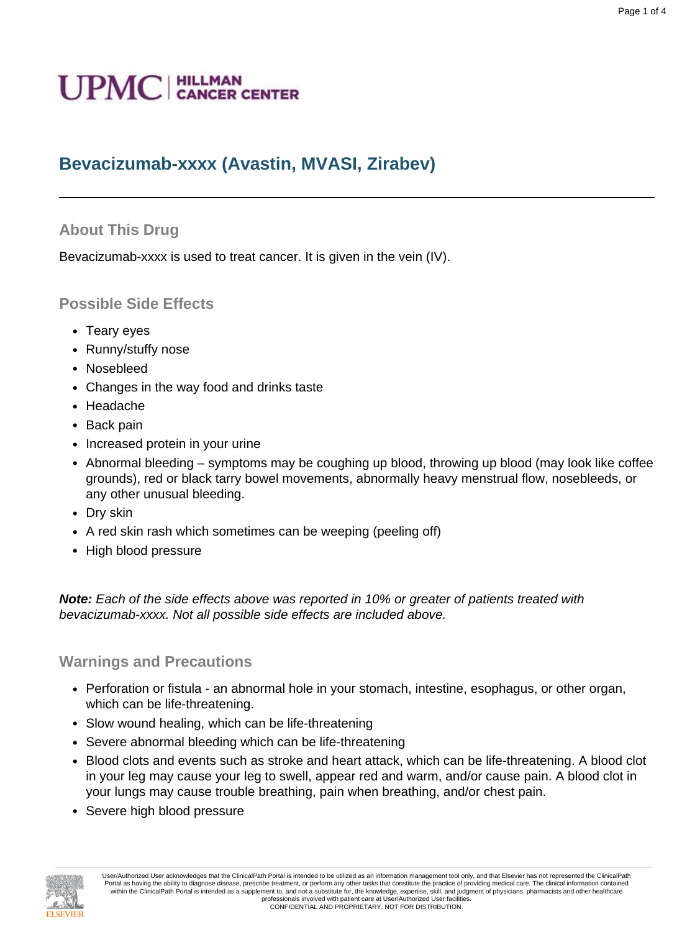# **Bevacizumab-xxxx (Avastin, MVASI, Zirabev)**

## **About This Drug**

Bevacizumab-xxxx is used to treat cancer. It is given in the vein (IV).

## **Possible Side Effects**

- Teary eyes
- Runny/stuffy nose
- Nosebleed
- Changes in the way food and drinks taste
- Headache
- Back pain
- Increased protein in your urine
- Abnormal bleeding symptoms may be coughing up blood, throwing up blood (may look like coffee grounds), red or black tarry bowel movements, abnormally heavy menstrual flow, nosebleeds, or any other unusual bleeding.
- Dry skin
- A red skin rash which sometimes can be weeping (peeling off)
- High blood pressure

**Note:** Each of the side effects above was reported in 10% or greater of patients treated with bevacizumab-xxxx. Not all possible side effects are included above.

## **Warnings and Precautions**

- Perforation or fistula an abnormal hole in your stomach, intestine, esophagus, or other organ, which can be life-threatening.
- Slow wound healing, which can be life-threatening
- Severe abnormal bleeding which can be life-threatening
- Blood clots and events such as stroke and heart attack, which can be life-threatening. A blood clot in your leg may cause your leg to swell, appear red and warm, and/or cause pain. A blood clot in your lungs may cause trouble breathing, pain when breathing, and/or chest pain.
- Severe high blood pressure

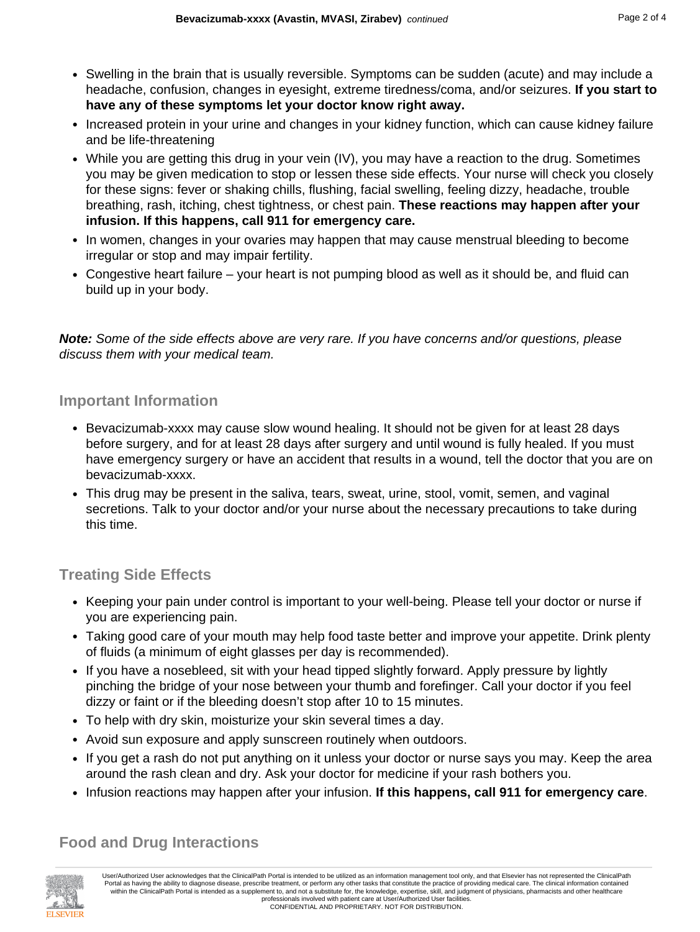- Swelling in the brain that is usually reversible. Symptoms can be sudden (acute) and may include a headache, confusion, changes in eyesight, extreme tiredness/coma, and/or seizures. **If you start to have any of these symptoms let your doctor know right away.**
- Increased protein in your urine and changes in your kidney function, which can cause kidney failure and be life-threatening
- While you are getting this drug in your vein (IV), you may have a reaction to the drug. Sometimes you may be given medication to stop or lessen these side effects. Your nurse will check you closely for these signs: fever or shaking chills, flushing, facial swelling, feeling dizzy, headache, trouble breathing, rash, itching, chest tightness, or chest pain. **These reactions may happen after your infusion. If this happens, call 911 for emergency care.**
- In women, changes in your ovaries may happen that may cause menstrual bleeding to become irregular or stop and may impair fertility.
- Congestive heart failure your heart is not pumping blood as well as it should be, and fluid can build up in your body.

**Note:** Some of the side effects above are very rare. If you have concerns and/or questions, please discuss them with your medical team.

#### **Important Information**

- Bevacizumab-xxxx may cause slow wound healing. It should not be given for at least 28 days before surgery, and for at least 28 days after surgery and until wound is fully healed. If you must have emergency surgery or have an accident that results in a wound, tell the doctor that you are on bevacizumab-xxxx.
- This drug may be present in the saliva, tears, sweat, urine, stool, vomit, semen, and vaginal secretions. Talk to your doctor and/or your nurse about the necessary precautions to take during this time.

## **Treating Side Effects**

- Keeping your pain under control is important to your well-being. Please tell your doctor or nurse if you are experiencing pain.
- Taking good care of your mouth may help food taste better and improve your appetite. Drink plenty of fluids (a minimum of eight glasses per day is recommended).
- If you have a nosebleed, sit with your head tipped slightly forward. Apply pressure by lightly pinching the bridge of your nose between your thumb and forefinger. Call your doctor if you feel dizzy or faint or if the bleeding doesn't stop after 10 to 15 minutes.
- To help with dry skin, moisturize your skin several times a day.
- Avoid sun exposure and apply sunscreen routinely when outdoors.
- If you get a rash do not put anything on it unless your doctor or nurse says you may. Keep the area around the rash clean and dry. Ask your doctor for medicine if your rash bothers you.
- Infusion reactions may happen after your infusion. **If this happens, call 911 for emergency care**.

## **Food and Drug Interactions**



User/Authorized User acknowledges that the ClinicalPath Portal is intended to be utilized as an information management tool only, and that Elsevier has not represented the ClinicalPath Portal as having the ability to diagnose disease, prescribe treatment, or perform any other tasks that constitute the practice of providing medical care. The clinical information contained within the ClinicalPath Portal is intended as a supplement to, and not a substitute for, the knowledge, expertise, skill, and judgment of physicians, pharmacists and other healthcare professionals involved with patient care at User/Authorized User facilities. CONFIDENTIAL AND PROPRIETARY. NOT FOR DISTRIBUTION.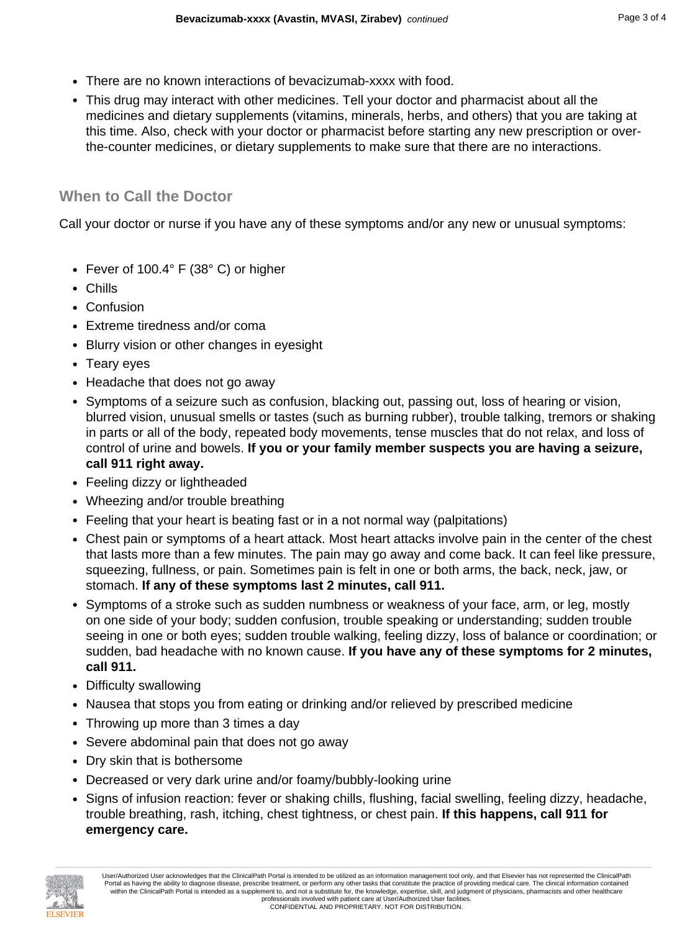- There are no known interactions of bevacizumab-xxxx with food.
- This drug may interact with other medicines. Tell your doctor and pharmacist about all the medicines and dietary supplements (vitamins, minerals, herbs, and others) that you are taking at this time. Also, check with your doctor or pharmacist before starting any new prescription or overthe-counter medicines, or dietary supplements to make sure that there are no interactions.

## **When to Call the Doctor**

Call your doctor or nurse if you have any of these symptoms and/or any new or unusual symptoms:

- Fever of 100.4° F (38° C) or higher
- Chills
- Confusion
- Extreme tiredness and/or coma
- Blurry vision or other changes in eyesight
- Teary eyes
- Headache that does not go away
- Symptoms of a seizure such as confusion, blacking out, passing out, loss of hearing or vision, blurred vision, unusual smells or tastes (such as burning rubber), trouble talking, tremors or shaking in parts or all of the body, repeated body movements, tense muscles that do not relax, and loss of control of urine and bowels. **If you or your family member suspects you are having a seizure, call 911 right away.**
- Feeling dizzy or lightheaded
- Wheezing and/or trouble breathing
- Feeling that your heart is beating fast or in a not normal way (palpitations)
- Chest pain or symptoms of a heart attack. Most heart attacks involve pain in the center of the chest that lasts more than a few minutes. The pain may go away and come back. It can feel like pressure, squeezing, fullness, or pain. Sometimes pain is felt in one or both arms, the back, neck, jaw, or stomach. **If any of these symptoms last 2 minutes, call 911.**
- Symptoms of a stroke such as sudden numbness or weakness of your face, arm, or leg, mostly on one side of your body; sudden confusion, trouble speaking or understanding; sudden trouble seeing in one or both eyes; sudden trouble walking, feeling dizzy, loss of balance or coordination; or sudden, bad headache with no known cause. **If you have any of these symptoms for 2 minutes, call 911.**
- Difficulty swallowing
- Nausea that stops you from eating or drinking and/or relieved by prescribed medicine
- Throwing up more than 3 times a day
- Severe abdominal pain that does not go away
- Dry skin that is bothersome
- Decreased or very dark urine and/or foamy/bubbly-looking urine
- Signs of infusion reaction: fever or shaking chills, flushing, facial swelling, feeling dizzy, headache, trouble breathing, rash, itching, chest tightness, or chest pain. **If this happens, call 911 for emergency care.**